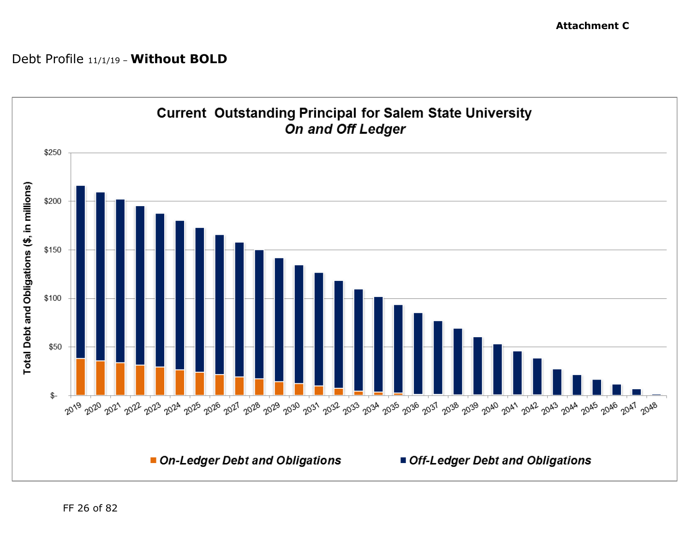### Debt Profile 11/1/19 - Without BOLD

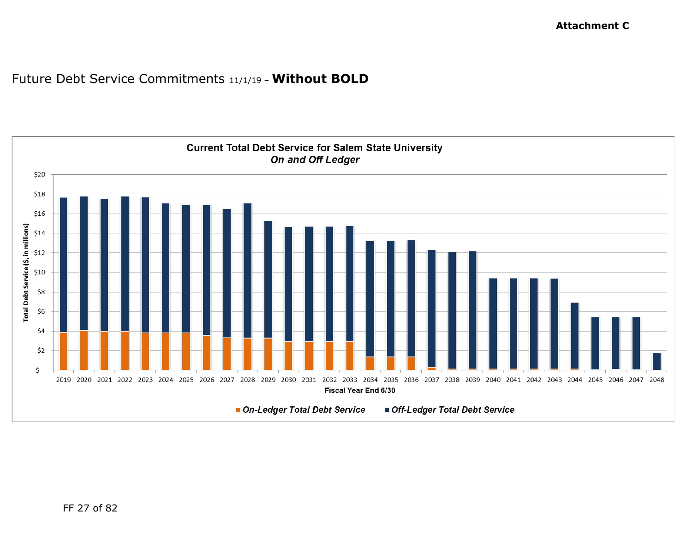# Future Debt Service Commitments 11/1/19 – **Without BOLD**

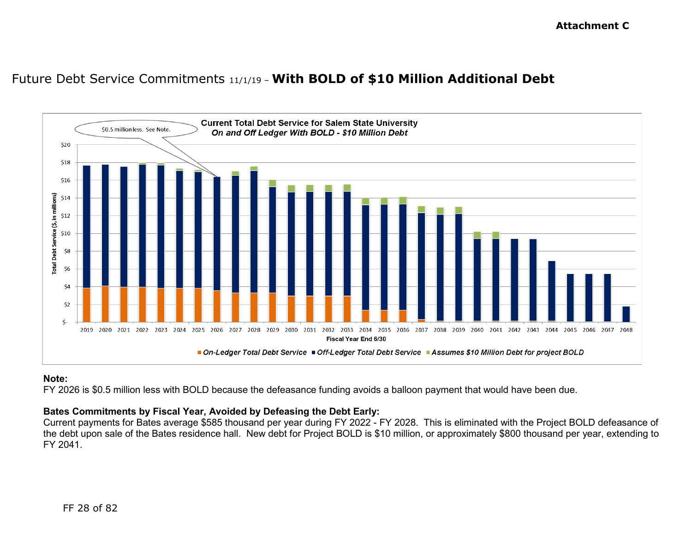**Attachment C**

# Future Debt Service Commitments 11/1/19 – **With BOLD of \$10 Million Additional Debt**



#### **Note:**

FY 2026 is \$0.5 million less with BOLD because the defeasance funding avoids a balloon payment that would have been due.

#### **Bates Commitments by Fiscal Year, Avoided by Defeasing the Debt Early:**

Current payments for Bates average \$585 thousand per year during FY 2022 - FY 2028. This is eliminated with the Project BOLD defeasance of the debt upon sale of the Bates residence hall. New debt for Project BOLD is \$10 million, or approximately \$800 thousand per year, extending to FY 2041.